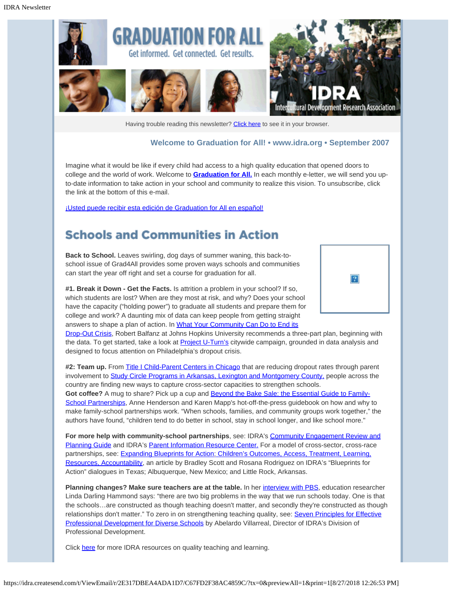

Having trouble reading this newsletter? [Click here](http://idra.createsend.com/t/1/e/iludl/l/) to see it in your browser.

#### **Welcome to Graduation for All! • [www.idra.org](http://idra.createsend.com/t/1/l/iludl/l/www.idra.org) • September 2007**

Imagine what it would be like if every child had access to a high quality education that opened doors to college and the world of work. Welcome to **[Graduation for All.](http://idra.createsend1.com/t/1/l/iludl/l/www.idra.org/School_Holding_Power/Graduation_for_All_e-Letter/)** In each monthly e-letter, we will send you upto-date information to take action in your school and community to realize this vision. To unsubscribe, click the link at the bottom of this e-mail.

[¡Usted puede recibir esta edición de Graduation for All en español!](http://idra.createsend1.com/t/1/l/iludl/l/idra.createsend.com/viewEmail.aspx?cID=2E6AC11615B60365&sID=59F6F44BDEEB2530&dID=5CB9CB5A1CE688CE)

#### **Schools and Communities in Action**

**Back to School.** Leaves swirling, dog days of summer waning, this back-toschool issue of Grad4All provides some proven ways schools and communities can start the year off right and set a course for graduation for all.

**#1. Break it Down - Get the Facts.** Is attrition a problem in your school? If so, which students are lost? When are they most at risk, and why? Does your school have the capacity ("holding power") to graduate all students and prepare them for college and work? A daunting mix of data can keep people from getting straight answers to shape a plan of action. In [What Your Community Can Do to End its](http://idra.createsend1.com/t/1/l/iludl/l/web.jhu.edu/CSOS/images/Final_dropout_Balfanz.pdf)



[Drop-Out Crisis](http://idra.createsend1.com/t/1/l/iludl/l/web.jhu.edu/CSOS/images/Final_dropout_Balfanz.pdf), Robert Balfanz at Johns Hopkins University recommends a three-part plan, beginning with the data. To get started, take a look at **Project U-Turn's** citywide campaign, grounded in data analysis and designed to focus attention on Philadelphia's dropout crisis.

**#2: Team up.** From [Title I Child-Parent Centers in Chicago](http://idra.createsend1.com/t/1/l/iludl/l/epaa.asu.edu/epaa/v12n72/v12n72.pdf) that are reducing dropout rates through parent involvement to [Study Circle Programs in Arkansas, Lexington and Montgomery County,](http://idra.createsend1.com/t/1/l/iludl/l/www.studycircles.org//en/Article.aspx?id=294&draft=true) people across the country are finding new ways to capture cross-sector capacities to strengthen schools.

Got coffee? A mug to share? Pick up a cup and **Beyond the Bake Sale: the Essential Guide to Family-**[School Partnerships](http://idra.createsend1.com/t/1/l/iludl/l/www.thenewpress.com/index.php?option=com_title&task=view_title&metaproductid=1296), Anne Henderson and Karen Mapp's hot-off-the-press guidebook on how and why to make family-school partnerships work. "When schools, families, and community groups work together," the authors have found, "children tend to do better in school, stay in school longer, and like school more."

**For more help with community-school partnerships**, see: IDRA's [Community Engagement Review and](http://idra.createsend1.com/t/1/l/iludl/l/www.idra.org/images/stories/cereview.pdf) [Planning Guide](http://idra.createsend1.com/t/1/l/iludl/l/www.idra.org/images/stories/cereview.pdf) and IDRA's [Parent Information Resource Center.](http://idra.createsend1.com/t/1/l/iludl/l/www.idra.org/Texas_IDRA_PIRC.htm/) For a model of cross-sector, cross-race partnerships, see: [Expanding Blueprints for Action: Children's Outcomes, Access, Treatment, Learning,](http://idra.createsend1.com/t/1/l/iludl/l/www.idra.org/IDRA_Newsletters/May_2007_Teaching_Quality/Expanding_Blueprints_for_Action/) [Resources, Accountability,](http://idra.createsend1.com/t/1/l/iludl/l/www.idra.org/IDRA_Newsletters/May_2007_Teaching_Quality/Expanding_Blueprints_for_Action/) an article by Bradley Scott and Rosana Rodriguez on IDRA's "Blueprints for Action" dialogues in Texas; Albuquerque, New Mexico; and Little Rock, Arkansas.

**Planning changes? Make sure teachers are at the table.** In her [interview with PBS](http://idra.createsend1.com/t/1/l/iludl/l/www.pbs.org/onlyateacher/today2.html), education researcher Linda Darling Hammond says: "there are two big problems in the way that we run schools today. One is that the schools…are constructed as though teaching doesn't matter, and secondly they're constructed as though relationships don't matter." To zero in on strengthening teaching quality, see: [Seven Principles for Effective](http://idra.createsend1.com/t/1/l/iludl/l/www.idra.org/IDRA_Newsletters/June_-_July_2005_Self__Renewing_Schools_Leadership_Accountability/Seven_Principles_for_Effective_Professional_Development_for_Diverse_Schools/) [Professional Development for Diverse Schools](http://idra.createsend1.com/t/1/l/iludl/l/www.idra.org/IDRA_Newsletters/June_-_July_2005_Self__Renewing_Schools_Leadership_Accountability/Seven_Principles_for_Effective_Professional_Development_for_Diverse_Schools/) by Abelardo Villarreal, Director of IDRA's Division of Professional Development.

Click [here](http://idra.createsend1.com/t/1/l/iludl/l/www.idra.org/Quality_Teaching_and_Learning/) for more IDRA resources on quality teaching and learning.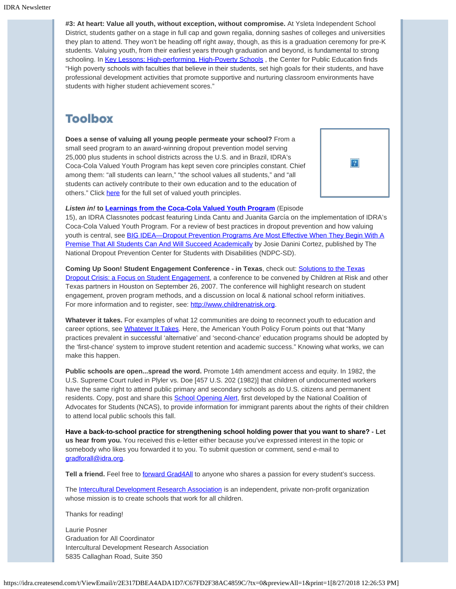**#3: At heart: Value all youth, without exception, without compromise.** At Ysleta Independent School District, students gather on a stage in full cap and gown regalia, donning sashes of colleges and universities they plan to attend. They won't be heading off right away, though, as this is a graduation ceremony for pre-K students. Valuing youth, from their earliest years through graduation and beyond, is fundamental to strong schooling. In [Key Lessons: High-performing, High-Poverty Schools](http://idra.createsend1.com/t/1/l/iludl/l/www.centerforpubliceducation.org/site/c.kjJXJ5MPIwE/b.1534271/k.9010/Key_Lessons_Highperforming_highpoverty_schools.htm), the Center for Public Education finds "High poverty schools with faculties that believe in their students, set high goals for their students, and have professional development activities that promote supportive and nurturing classroom environments have students with higher student achievement scores."

## **Toolbox**

**Does a sense of valuing all young people permeate your school?** From a small seed program to an award-winning dropout prevention model serving 25,000 plus students in school districts across the U.S. and in Brazil, IDRA's Coca-Cola Valued Youth Program has kept seven core principles constant. Chief among them: "all students can learn," "the school values all students," and "all students can actively contribute to their own education and to the education of others." Click [here](http://idra.createsend1.com/t/1/l/iludl/l/www.idra.org/Coca-Cola_Valued_Youth_Program.htm/Program_Philosophy/.) for the full set of valued youth principles.



*Listen in!* **to [Learnings from the Coca-Cola Valued Youth Program](http://idra.createsend1.com/t/1/l/iludl/l/www.idra.org/Podcasts/)** (Episode

15), an IDRA Classnotes podcast featuring Linda Cantu and Juanita García on the implementation of IDRA's Coca-Cola Valued Youth Program. For a review of best practices in dropout prevention and how valuing youth is central, see [BIG IDEA—Dropout Prevention Programs Are Most Effective When They Begin With A](http://idra.createsend1.com/t/1/l/iludl/l/www.ndpc-sd.org/enews/docs/BigIDEAs-2005-04.pdf) [Premise That All Students Can And Will Succeed Academically](http://idra.createsend1.com/t/1/l/iludl/l/www.ndpc-sd.org/enews/docs/BigIDEAs-2005-04.pdf) by Josie Danini Cortez, published by The National Dropout Prevention Center for Students with Disabilities (NDPC-SD).

**Coming Up Soon! Student Engagement Conference - in Texas**, check out: [Solutions to the Texas](http://idra.createsend1.com/t/1/l/iludl/l/www.childrenatrisk.org/childrenatrisk.cfm?a=cms,c,398) **Dropout Crisis: a Focus on Student Engagement**, a conference to be convened by Children at Risk and other Texas partners in Houston on September 26, 2007. The conference will highlight research on student engagement, proven program methods, and a discussion on local & national school reform initiatives. For more information and to register, see: [http://www.childrenatrisk.org](http://idra.createsend1.com/t/1/l/iludl/l/www.childrenatrisk.org).

**Whatever it takes.** For examples of what 12 communities are doing to reconnect youth to education and career options, see [Whatever It Takes](http://idra.createsend1.com/t/1/l/iludl/l/www.aypf.org/publications/WhateverItTakes/WITfull.pdf). Here, the American Youth Policy Forum points out that "Many practices prevalent in successful 'alternative' and 'second-chance' education programs should be adopted by the 'first-chance' system to improve student retention and academic success." Knowing what works, we can make this happen.

**Public schools are open...spread the word.** Promote 14th amendment access and equity. In 1982, the U.S. Supreme Court ruled in Plyler vs. Doe [457 U.S. 202 (1982)] that children of undocumented workers have the same right to attend public primary and secondary schools as do U.S. citizens and permanent residents. Copy, post and share this **School Opening Alert**, first developed by the National Coalition of Advocates for Students (NCAS), to provide information for immigrant parents about the rights of their children to attend local public schools this fall.

**Have a back-to-school practice for strengthening school holding power that you want to share? - Let us hear from you.** You received this e-letter either because you've expressed interest in the topic or somebody who likes you forwarded it to you. To submit question or comment, send e-mail to [gradforall@idra.org](mailto:gradforall@idra.org).

Tell a friend. Feel free to *forward [Grad4All](http://idra.createsend1.com/t/1/l/iludl/l/idra.forward-email.com/?r.l.ttgh.fa8b08a4)* to anyone who shares a passion for every student's success.

The [Intercultural Development Research Association](http://idra.createsend1.com/t/1/l/iludl/l/www.idra.org/) is an independent, private non-profit organization whose mission is to create schools that work for all children.

Thanks for reading!

Laurie Posner Graduation for All Coordinator Intercultural Development Research Association 5835 Callaghan Road, Suite 350